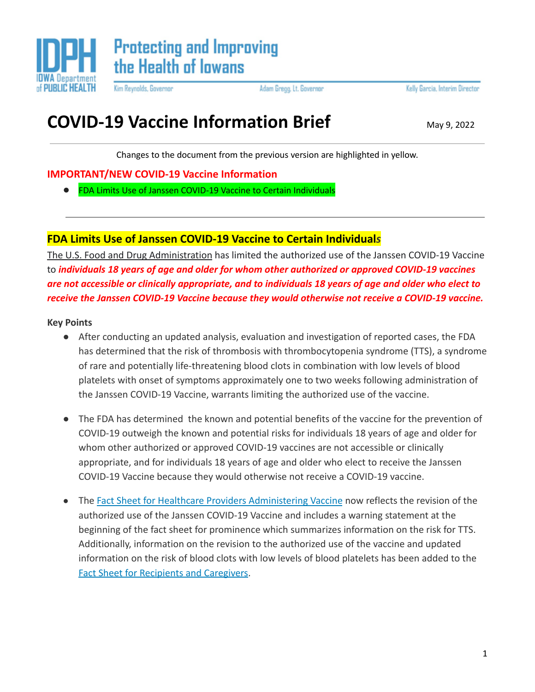

Kim Reynolds, Governor

Adam Gregg, Lt. Governor

Kelly Garcia, Interim Director

# **COVID-19 Vaccine Information Brief** May 9, 2022

Changes to the document from the previous version are highlighted in yellow.

## **IMPORTANT/NEW COVID-19 Vaccine Information**

**●** FDA Limits Use of Janssen COVID-19 Vaccine to Certain Individuals

# **FDA Limits Use of Janssen COVID-19 Vaccine to Certain Individual***s*

[The U.S. Food and Drug Administration](https://www.fda.gov/news-events/press-announcements/coronavirus-covid-19-update-fda-limits-use-janssen-covid-19-vaccine-certain-individuals) has limited the authorized use of the Janssen COVID-19 Vaccine to *individuals 18 years of age and older for whom other authorized or approved COVID-19 vaccines are not accessible or clinically appropriate, and to individuals 18 years of age and older who elect to receive the Janssen COVID-19 Vaccine because they would otherwise not receive a COVID-19 vaccine.*

#### **Key Points**

- After conducting an updated analysis, evaluation and investigation of reported cases, the FDA has determined that the risk of thrombosis with thrombocytopenia syndrome (TTS), a syndrome of rare and potentially life-threatening blood clots in combination with low levels of blood platelets with onset of symptoms approximately one to two weeks following administration of the Janssen COVID-19 Vaccine, warrants limiting the authorized use of the vaccine.
- The FDA has determined the known and potential benefits of the vaccine for the prevention of COVID-19 outweigh the known and potential risks for individuals 18 years of age and older for whom other authorized or approved COVID-19 vaccines are not accessible or clinically appropriate, and for individuals 18 years of age and older who elect to receive the Janssen COVID-19 Vaccine because they would otherwise not receive a COVID-19 vaccine.
- The [Fact Sheet for Healthcare Providers Administering](https://www.fda.gov/media/146304/download) Vaccine now reflects the revision of the authorized use of the Janssen COVID-19 Vaccine and includes a warning statement at the beginning of the fact sheet for prominence which summarizes information on the risk for TTS. Additionally, information on the revision to the authorized use of the vaccine and updated information on the risk of blood clots with low levels of blood platelets has been added to the [Fact Sheet for Recipients and Caregivers](https://www.fda.gov/media/146305/download).